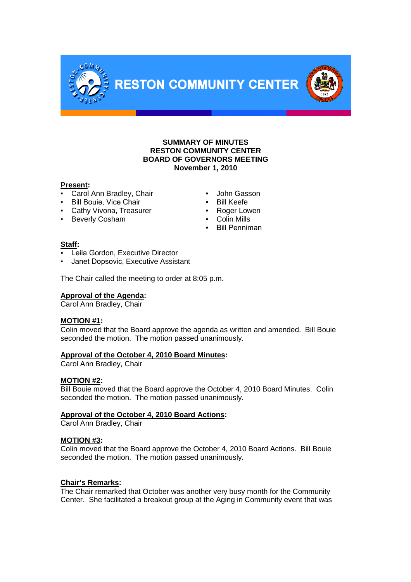



#### **Present:**

- **Carol Ann Bradley, Chair <b>•** John Gasson
- Bill Bouie, Vice Chair ■ Bill Keefe
- Cathy Vivona, Treasurer **· Proget Lowen**
- Beverly Cosham  **Colin Mills**

COMM

- 
- 
- 
- 
- Bill Penniman

## **Staff:**

- Leila Gordon, Executive Director
- **Janet Dopsovic, Executive Assistant**

The Chair called the meeting to order at 8:05 p.m.

#### **Approval of the Agenda:**

Carol Ann Bradley, Chair

#### **MOTION #1:**

Colin moved that the Board approve the agenda as written and amended. Bill Bouie seconded the motion. The motion passed unanimously.

## **Approval of the October 4, 2010 Board Minutes:**

Carol Ann Bradley, Chair

#### **MOTION #2:**

Bill Bouie moved that the Board approve the October 4, 2010 Board Minutes. Colin seconded the motion. The motion passed unanimously.

## **Approval of the October 4, 2010 Board Actions:**

Carol Ann Bradley, Chair

#### **MOTION #3:**

Colin moved that the Board approve the October 4, 2010 Board Actions. Bill Bouie seconded the motion. The motion passed unanimously.

#### **Chair's Remarks:**

The Chair remarked that October was another very busy month for the Community Center. She facilitated a breakout group at the Aging in Community event that was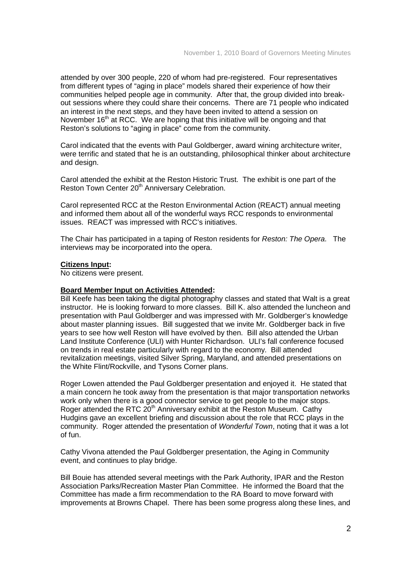attended by over 300 people, 220 of whom had pre-registered. Four representatives from different types of "aging in place" models shared their experience of how their communities helped people age in community. After that, the group divided into breakout sessions where they could share their concerns. There are 71 people who indicated an interest in the next steps, and they have been invited to attend a session on November  $16<sup>th</sup>$  at RCC. We are hoping that this initiative will be ongoing and that Reston's solutions to "aging in place" come from the community.

Carol indicated that the events with Paul Goldberger, award wining architecture writer, were terrific and stated that he is an outstanding, philosophical thinker about architecture and design.

Carol attended the exhibit at the Reston Historic Trust. The exhibit is one part of the Reston Town Center 20<sup>th</sup> Anniversary Celebration.

Carol represented RCC at the Reston Environmental Action (REACT) annual meeting and informed them about all of the wonderful ways RCC responds to environmental issues. REACT was impressed with RCC's initiatives.

The Chair has participated in a taping of Reston residents for *Reston: The Opera.* The interviews may be incorporated into the opera.

#### **Citizens Input:**

No citizens were present.

#### **Board Member Input on Activities Attended:**

Bill Keefe has been taking the digital photography classes and stated that Walt is a great instructor. He is looking forward to more classes. Bill K. also attended the luncheon and presentation with Paul Goldberger and was impressed with Mr. Goldberger's knowledge about master planning issues. Bill suggested that we invite Mr. Goldberger back in five years to see how well Reston will have evolved by then. Bill also attended the Urban Land Institute Conference (ULI) with Hunter Richardson. ULI's fall conference focused on trends in real estate particularly with regard to the economy. Bill attended revitalization meetings, visited Silver Spring, Maryland, and attended presentations on the White Flint/Rockville, and Tysons Corner plans.

Roger Lowen attended the Paul Goldberger presentation and enjoyed it. He stated that a main concern he took away from the presentation is that major transportation networks work only when there is a good connector service to get people to the major stops. Roger attended the RTC 20<sup>th</sup> Anniversary exhibit at the Reston Museum. Cathy Hudgins gave an excellent briefing and discussion about the role that RCC plays in the community. Roger attended the presentation of *Wonderful Town*, noting that it was a lot of fun.

Cathy Vivona attended the Paul Goldberger presentation, the Aging in Community event, and continues to play bridge.

Bill Bouie has attended several meetings with the Park Authority, IPAR and the Reston Association Parks/Recreation Master Plan Committee. He informed the Board that the Committee has made a firm recommendation to the RA Board to move forward with improvements at Browns Chapel. There has been some progress along these lines, and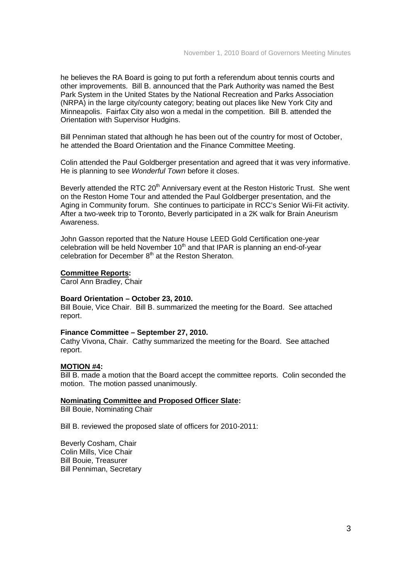he believes the RA Board is going to put forth a referendum about tennis courts and other improvements. Bill B. announced that the Park Authority was named the Best Park System in the United States by the National Recreation and Parks Association (NRPA) in the large city/county category; beating out places like New York City and Minneapolis. Fairfax City also won a medal in the competition. Bill B. attended the Orientation with Supervisor Hudgins.

Bill Penniman stated that although he has been out of the country for most of October, he attended the Board Orientation and the Finance Committee Meeting.

Colin attended the Paul Goldberger presentation and agreed that it was very informative. He is planning to see *Wonderful Town* before it closes.

Beverly attended the RTC 20<sup>th</sup> Anniversary event at the Reston Historic Trust. She went on the Reston Home Tour and attended the Paul Goldberger presentation, and the Aging in Community forum. She continues to participate in RCC's Senior Wii-Fit activity. After a two-week trip to Toronto, Beverly participated in a 2K walk for Brain Aneurism Awareness.

John Gasson reported that the Nature House LEED Gold Certification one-year celebration will be held November  $10<sup>th</sup>$  and that IPAR is planning an end-of-year celebration for December 8<sup>th</sup> at the Reston Sheraton.

#### **Committee Reports:**

Carol Ann Bradley, Chair

#### **Board Orientation – October 23, 2010.**

Bill Bouie, Vice Chair. Bill B. summarized the meeting for the Board. See attached report.

#### **Finance Committee – September 27, 2010.**

Cathy Vivona, Chair. Cathy summarized the meeting for the Board. See attached report.

#### **MOTION #4:**

Bill B. made a motion that the Board accept the committee reports. Colin seconded the motion. The motion passed unanimously.

#### **Nominating Committee and Proposed Officer Slate:**

Bill Bouie, Nominating Chair

Bill B. reviewed the proposed slate of officers for 2010-2011:

Beverly Cosham, Chair Colin Mills, Vice Chair Bill Bouie, Treasurer Bill Penniman, Secretary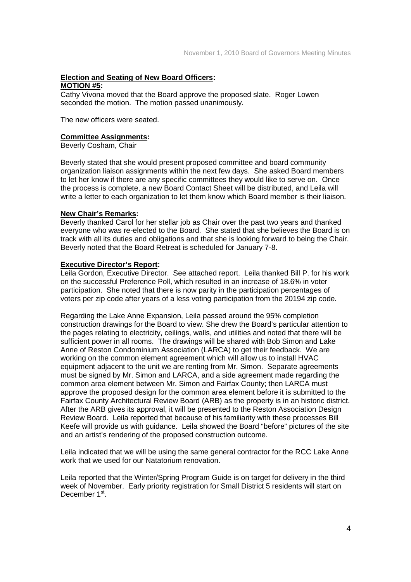## **Election and Seating of New Board Officers:**

#### **MOTION #5:**

Cathy Vivona moved that the Board approve the proposed slate. Roger Lowen seconded the motion. The motion passed unanimously.

The new officers were seated.

#### **Committee Assignments:**

Beverly Cosham, Chair

Beverly stated that she would present proposed committee and board community organization liaison assignments within the next few days. She asked Board members to let her know if there are any specific committees they would like to serve on. Once the process is complete, a new Board Contact Sheet will be distributed, and Leila will write a letter to each organization to let them know which Board member is their liaison.

#### **New Chair's Remarks:**

Beverly thanked Carol for her stellar job as Chair over the past two years and thanked everyone who was re-elected to the Board. She stated that she believes the Board is on track with all its duties and obligations and that she is looking forward to being the Chair. Beverly noted that the Board Retreat is scheduled for January 7-8.

#### **Executive Director's Report:**

Leila Gordon, Executive Director. See attached report. Leila thanked Bill P. for his work on the successful Preference Poll, which resulted in an increase of 18.6% in voter participation. She noted that there is now parity in the participation percentages of voters per zip code after years of a less voting participation from the 20194 zip code.

Regarding the Lake Anne Expansion, Leila passed around the 95% completion construction drawings for the Board to view. She drew the Board's particular attention to the pages relating to electricity, ceilings, walls, and utilities and noted that there will be sufficient power in all rooms. The drawings will be shared with Bob Simon and Lake Anne of Reston Condominium Association (LARCA) to get their feedback. We are working on the common element agreement which will allow us to install HVAC equipment adjacent to the unit we are renting from Mr. Simon. Separate agreements must be signed by Mr. Simon and LARCA, and a side agreement made regarding the common area element between Mr. Simon and Fairfax County; then LARCA must approve the proposed design for the common area element before it is submitted to the Fairfax County Architectural Review Board (ARB) as the property is in an historic district. After the ARB gives its approval, it will be presented to the Reston Association Design Review Board. Leila reported that because of his familiarity with these processes Bill Keefe will provide us with guidance. Leila showed the Board "before" pictures of the site and an artist's rendering of the proposed construction outcome.

Leila indicated that we will be using the same general contractor for the RCC Lake Anne work that we used for our Natatorium renovation.

Leila reported that the Winter/Spring Program Guide is on target for delivery in the third week of November. Early priority registration for Small District 5 residents will start on December 1<sup>st</sup>.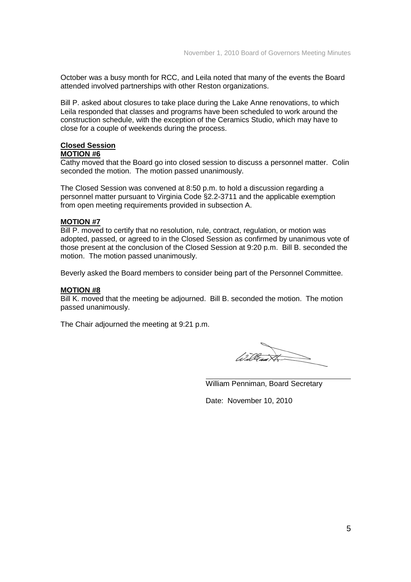October was a busy month for RCC, and Leila noted that many of the events the Board attended involved partnerships with other Reston organizations.

Bill P. asked about closures to take place during the Lake Anne renovations, to which Leila responded that classes and programs have been scheduled to work around the construction schedule, with the exception of the Ceramics Studio, which may have to close for a couple of weekends during the process.

# **Closed Session**

## **MOTION #6**

Cathy moved that the Board go into closed session to discuss a personnel matter. Colin seconded the motion. The motion passed unanimously.

The Closed Session was convened at 8:50 p.m. to hold a discussion regarding a personnel matter pursuant to Virginia Code §2.2-3711 and the applicable exemption from open meeting requirements provided in subsection A.

#### **MOTION #7**

Bill P. moved to certify that no resolution, rule, contract, regulation, or motion was adopted, passed, or agreed to in the Closed Session as confirmed by unanimous vote of those present at the conclusion of the Closed Session at 9:20 p.m. Bill B. seconded the motion. The motion passed unanimously.

Beverly asked the Board members to consider being part of the Personnel Committee.

#### **MOTION #8**

Bill K. moved that the meeting be adjourned. Bill B. seconded the motion. The motion passed unanimously.

The Chair adjourned the meeting at 9:21 p.m.

William Penniman, Board Secretary

Date: November 10, 2010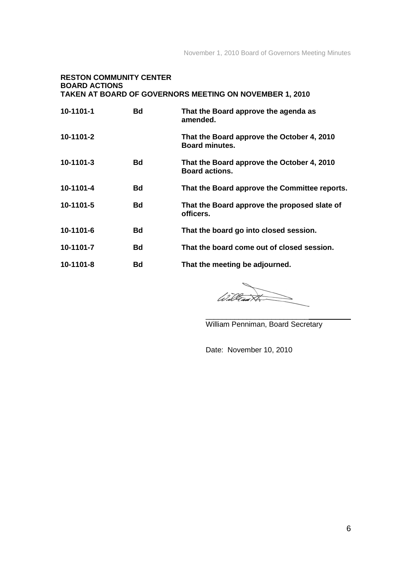#### **RESTON COMMUNITY CENTER BOARD ACTIONS TAKEN AT BOARD OF GOVERNORS MEETING ON NOVEMBER 1, 2010**

| 10-1101-1       | Bd | That the Board approve the agenda as<br>amended.                    |
|-----------------|----|---------------------------------------------------------------------|
| 10-1101-2       |    | That the Board approve the October 4, 2010<br><b>Board minutes.</b> |
| 10-1101-3       | Bd | That the Board approve the October 4, 2010<br><b>Board actions.</b> |
| 10-1101-4       | Bd | That the Board approve the Committee reports.                       |
| 10-1101-5       | Bd | That the Board approve the proposed slate of<br>officers.           |
| 10-1101-6       | Bd | That the board go into closed session.                              |
| 10-1101-7       | Bd | That the board come out of closed session.                          |
| $10 - 1101 - 8$ | Bd | That the meeting be adjourned.                                      |

Wille

\_\_\_\_\_\_\_\_\_\_\_\_\_\_\_\_\_\_\_\_\_\_\_\_\_

William Penniman, Board Secretary

Date: November 10, 2010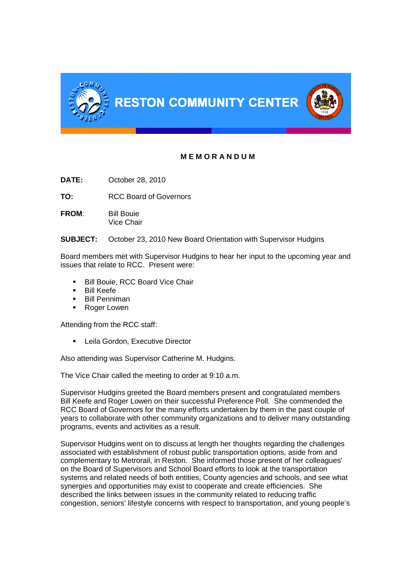

# **M E M O R A N D U M**

**DATE:** October 28, 2010

**TO:** RCC Board of Governors

**FROM:** Bill Bouie Vice Chair

**SUBJECT:** October 23, 2010 New Board Orientation with Supervisor Hudgins

Board members met with Supervisor Hudgins to hear her input to the upcoming year and issues that relate to RCC. Present were:

- Bill Bouie, RCC Board Vice Chair
- **Bill Keefe**
- Bill Penniman
- Roger Lowen

Attending from the RCC staff:

**EXECUTE:** Leila Gordon, Executive Director

Also attending was Supervisor Catherine M. Hudgins.

The Vice Chair called the meeting to order at 9:10 a.m.

Supervisor Hudgins greeted the Board members present and congratulated members Bill Keefe and Roger Lowen on their successful Preference Poll. She commended the RCC Board of Governors for the many efforts undertaken by them in the past couple of years to collaborate with other community organizations and to deliver many outstanding programs, events and activities as a result.

Supervisor Hudgins went on to discuss at length her thoughts regarding the challenges associated with establishment of robust public transportation options, aside from and complementary to Metrorail, in Reston. She informed those present of her colleagues' on the Board of Supervisors and School Board efforts to look at the transportation systems and related needs of both entities, County agencies and schools, and see what synergies and opportunities may exist to cooperate and create efficiencies. She described the links between issues in the community related to reducing traffic congestion, seniors' lifestyle concerns with respect to transportation, and young people's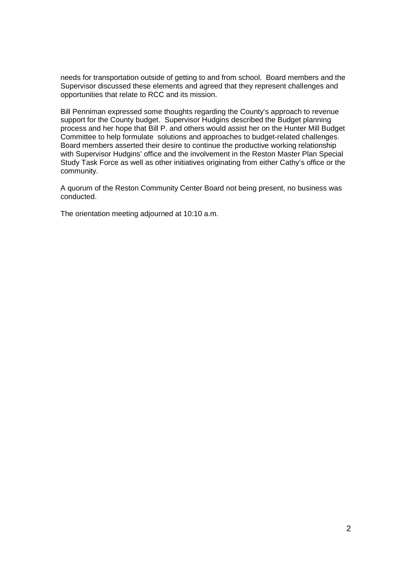needs for transportation outside of getting to and from school. Board members and the Supervisor discussed these elements and agreed that they represent challenges and opportunities that relate to RCC and its mission.

Bill Penniman expressed some thoughts regarding the County's approach to revenue support for the County budget. Supervisor Hudgins described the Budget planning process and her hope that Bill P. and others would assist her on the Hunter Mill Budget Committee to help formulate solutions and approaches to budget-related challenges. Board members asserted their desire to continue the productive working relationship with Supervisor Hudgins' office and the involvement in the Reston Master Plan Special Study Task Force as well as other initiatives originating from either Cathy's office or the community.

A quorum of the Reston Community Center Board not being present, no business was conducted.

The orientation meeting adjourned at 10:10 a.m.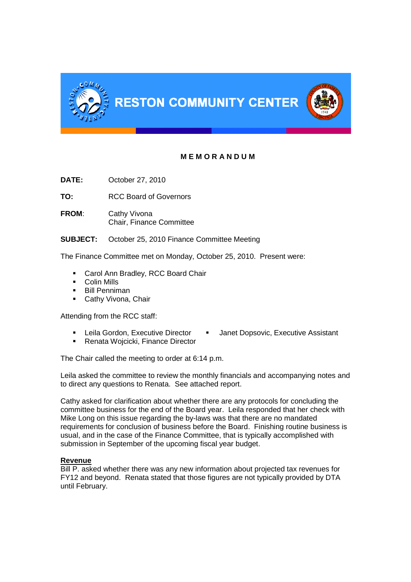

# **M E M O R A N D U M**

**DATE:** October 27, 2010

**TO:** RCC Board of Governors

**FROM**: Cathy Vivona Chair, Finance Committee

**SUBJECT:** October 25, 2010 Finance Committee Meeting

The Finance Committee met on Monday, October 25, 2010. Present were:

- **Carol Ann Bradley, RCC Board Chair**
- **Colin Mills**
- **Bill Penniman**
- **Cathy Vivona, Chair**

Attending from the RCC staff:

- Leila Gordon, Executive Director Janet Dopsovic, Executive Assistant
- Renata Wojcicki, Finance Director

The Chair called the meeting to order at 6:14 p.m.

Leila asked the committee to review the monthly financials and accompanying notes and to direct any questions to Renata. See attached report.

Cathy asked for clarification about whether there are any protocols for concluding the committee business for the end of the Board year. Leila responded that her check with Mike Long on this issue regarding the by-laws was that there are no mandated requirements for conclusion of business before the Board. Finishing routine business is usual, and in the case of the Finance Committee, that is typically accomplished with submission in September of the upcoming fiscal year budget.

#### **Revenue**

Bill P. asked whether there was any new information about projected tax revenues for FY12 and beyond. Renata stated that those figures are not typically provided by DTA until February.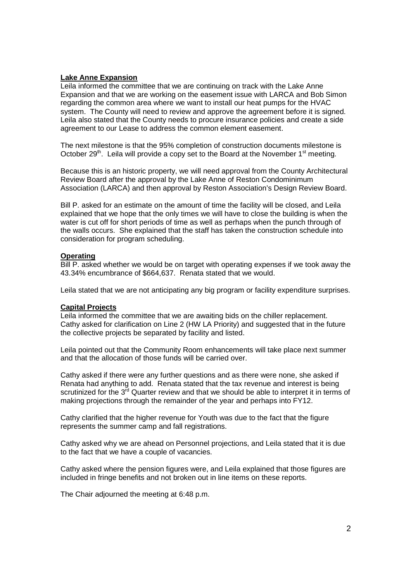### **Lake Anne Expansion**

Leila informed the committee that we are continuing on track with the Lake Anne Expansion and that we are working on the easement issue with LARCA and Bob Simon regarding the common area where we want to install our heat pumps for the HVAC system. The County will need to review and approve the agreement before it is signed. Leila also stated that the County needs to procure insurance policies and create a side agreement to our Lease to address the common element easement.

The next milestone is that the 95% completion of construction documents milestone is October 29<sup>th</sup>. Leila will provide a copy set to the Board at the November  $1<sup>st</sup>$  meeting.

Because this is an historic property, we will need approval from the County Architectural Review Board after the approval by the Lake Anne of Reston Condominimum Association (LARCA) and then approval by Reston Association's Design Review Board.

Bill P. asked for an estimate on the amount of time the facility will be closed, and Leila explained that we hope that the only times we will have to close the building is when the water is cut off for short periods of time as well as perhaps when the punch through of the walls occurs. She explained that the staff has taken the construction schedule into consideration for program scheduling.

#### **Operating**

Bill P. asked whether we would be on target with operating expenses if we took away the 43.34% encumbrance of \$664,637. Renata stated that we would.

Leila stated that we are not anticipating any big program or facility expenditure surprises.

#### **Capital Projects**

Leila informed the committee that we are awaiting bids on the chiller replacement. Cathy asked for clarification on Line 2 (HW LA Priority) and suggested that in the future the collective projects be separated by facility and listed.

Leila pointed out that the Community Room enhancements will take place next summer and that the allocation of those funds will be carried over.

Cathy asked if there were any further questions and as there were none, she asked if Renata had anything to add. Renata stated that the tax revenue and interest is being scrutinized for the 3<sup>rd</sup> Quarter review and that we should be able to interpret it in terms of making projections through the remainder of the year and perhaps into FY12.

Cathy clarified that the higher revenue for Youth was due to the fact that the figure represents the summer camp and fall registrations.

Cathy asked why we are ahead on Personnel projections, and Leila stated that it is due to the fact that we have a couple of vacancies.

Cathy asked where the pension figures were, and Leila explained that those figures are included in fringe benefits and not broken out in line items on these reports.

The Chair adjourned the meeting at 6:48 p.m.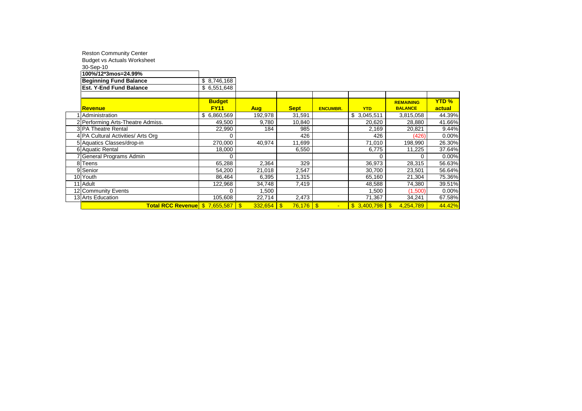| <b>Reston Community Center</b>     |               |                              |             |                 |             |                  |              |
|------------------------------------|---------------|------------------------------|-------------|-----------------|-------------|------------------|--------------|
| <b>Budget vs Actuals Worksheet</b> |               |                              |             |                 |             |                  |              |
| 30-Sep-10                          |               |                              |             |                 |             |                  |              |
| 100%/12*3mos=24.99%                |               |                              |             |                 |             |                  |              |
| <b>Beginning Fund Balance</b>      | \$8,746,168   |                              |             |                 |             |                  |              |
| <b>Est. Y-End Fund Balance</b>     | \$6,551,648   |                              |             |                 |             |                  |              |
|                                    |               |                              |             |                 |             |                  |              |
|                                    | <b>Budget</b> |                              |             |                 |             | <b>REMAINING</b> | <b>YTD %</b> |
| <b>Revenue</b>                     | <b>FY11</b>   | <b>Aug</b>                   | <b>Sept</b> | <b>ENCUMBR.</b> | <b>YTD</b>  | <b>BALANCE</b>   | actual       |
| Administration                     | \$6,860,569   | 192,978                      | 31,591      |                 | \$3,045,511 | 3,815,058        | 44.39%       |
| 2 Performing Arts-Theatre Admiss.  | 49,500        | 9,780                        | 10,840      |                 | 20,620      | 28,880           | 41.66%       |
| 3 PA Theatre Rental                | 22,990        | 184                          | 985         |                 | 2,169       | 20,821           | 9.44%        |
| 4 PA Cultural Activities/ Arts Org | 0             |                              | 426         |                 | 426         | (426)            | 0.00%        |
| 5 Aquatics Classes/drop-in         | 270,000       | 40,974                       | 11,699      |                 | 71,010      | 198,990          | 26.30%       |
| 6 Aquatic Rental                   | 18,000        |                              | 6,550       |                 | 6,775       | 11,225           | 37.64%       |
| General Programs Admin             | 0             |                              |             |                 | $\Omega$    | 0                | 0.00%        |
| 8 Teens                            | 65,288        | 2,364                        | 329         |                 | 36,973      | 28,315           | 56.63%       |
| 9 Senior                           | 54,200        | 21,018                       | 2,547       |                 | 30,700      | 23,501           | 56.64%       |
| 10 Youth                           | 86.464        | 6,395                        | 1,315       |                 | 65,160      | 21,304           | 75.36%       |
| 11 Adult                           | 122,968       | 34,748                       | 7,419       |                 | 48,588      | 74,380           | 39.51%       |
| 12 Community Events                | 0             | 1,500                        |             |                 | 1.500       | (1,500)          | 0.00%        |
| 13 Arts Education                  | 105,608       | 22,714                       | 2,473       |                 | 71,367      | 34,241           | 67.58%       |
| Total RCC Revenue \$7,655,587      |               | $332,654$ \$<br>$\mathbf{s}$ | $76,176$ \$ |                 |             | 4,254,789        | 44.42%       |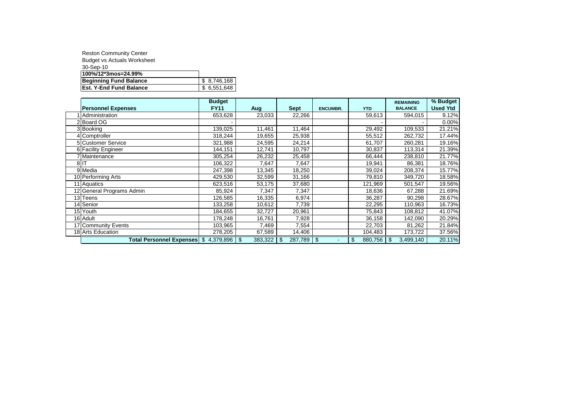| <b>Reston Community Center</b>     |             |
|------------------------------------|-------------|
| <b>Budget vs Actuals Worksheet</b> |             |
| 30-Sep-10                          |             |
| 100%/12*3mos=24.99%                |             |
| <b>Beginning Fund Balance</b>      | \$8,746,168 |
| <b>Est. Y-End Fund Balance</b>     | \$6.551.648 |

|                                    | <b>Budget</b> |         |             |                 |               | <b>REMAINING</b> | % Budget        |
|------------------------------------|---------------|---------|-------------|-----------------|---------------|------------------|-----------------|
| <b>Personnel Expenses</b>          | <b>FY11</b>   | Aug     | <b>Sept</b> | <b>ENCUMBR.</b> | <b>YTD</b>    | <b>BALANCE</b>   | <b>Used Ytd</b> |
| Administration                     | 653,628       | 23,033  | 22,266      |                 | 59,613        | 594,015          | 9.12%           |
| 2 Board OG                         |               |         |             |                 |               |                  | 0.00%           |
| 3 Booking                          | 139,025       | 11,461  | 11,464      |                 | 29,492        | 109,533          | 21.21%          |
| 4 Comptroller                      | 318,244       | 19,655  | 25,938      |                 | 55,512        | 262,732          | 17.44%          |
| 5 Customer Service                 | 321,988       | 24,595  | 24,214      |                 | 61,707        | 260,281          | 19.16%          |
| 6 Facility Engineer                | 144,151       | 12,741  | 10,797      |                 | 30,837        | 113,314          | 21.39%          |
| 7 Maintenance                      | 305,254       | 26,232  | 25,458      |                 | 66,444        | 238,810          | 21.77%          |
| 8IT                                | 106,322       | 7,647   | 7,647       |                 | 19,941        | 86,381           | 18.76%          |
| 9 Media                            | 247,398       | 13,345  | 18,250      |                 | 39,024        | 208,374          | 15.77%          |
| 10 Performing Arts                 | 429,530       | 32,599  | 31,166      |                 | 79,810        | 349,720          | 18.58%          |
| 11 Aquatics                        | 623,516       | 53,175  | 37,680      |                 | 121,969       | 501,547          | 19.56%          |
| 12 General Programs Admin          | 85,924        | 7,347   | 7,347       |                 | 18,636        | 67,288           | 21.69%          |
| 13 Teens                           | 126,585       | 16,335  | 6,974       |                 | 36,287        | 90,298           | 28.67%          |
| 14 Senior                          | 133,258       | 10,612  | 7,739       |                 | 22,295        | 110,963          | 16.73%          |
| 15 Youth                           | 184,655       | 32,727  | 20,961      |                 | 75,843        | 108,812          | 41.07%          |
| 16 Adult                           | 178,248       | 16,761  | 7,928       |                 | 36,158        | 142,090          | 20.29%          |
| 17 Community Events                | 103,965       | 7,469   | 7,554       |                 | 22,703        | 81,262           | 21.84%          |
| 18 Arts Education                  | 278,205       | 67,589  | 14,406      |                 | 104,483       | 173,722          | 37.56%          |
| <b>Total Personnel Expenses</b> \$ | 4,379,896     | 383,322 | 287,789     | -\$<br>÷        | \$<br>880,756 | 3,499,140<br>\$  | 20.11%          |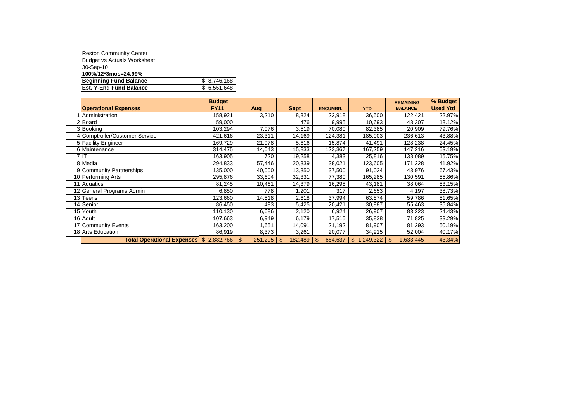| <b>Reston Community Center</b>     |              |
|------------------------------------|--------------|
| <b>Budget vs Actuals Worksheet</b> |              |
| 30-Sep-10                          |              |
| 100%/12*3mos=24.99%                |              |
| <b>Beginning Fund Balance</b>      | \$ 8.746.168 |
| <b>Est. Y-End Fund Balance</b>     | \$6,551,648  |

|                                         | <b>Budget</b> |                           |               |                 |             | <b>REMAINING</b>            | % Budget        |
|-----------------------------------------|---------------|---------------------------|---------------|-----------------|-------------|-----------------------------|-----------------|
| <b>Operational Expenses</b>             | <b>FY11</b>   | <b>Aug</b>                | <b>Sept</b>   | <b>ENCUMBR.</b> | <b>YTD</b>  | <b>BALANCE</b>              | <b>Used Ytd</b> |
| Administration                          | 158,921       | 3,210                     | 8,324         | 22,918          | 36,500      | 122,421                     | 22.97%          |
| <b>Board</b>                            | 59,000        |                           | 476           | 9,995           | 10,693      | 48,307                      | 18.12%          |
| 3 Booking                               | 103,294       | 7,076                     | 3,519         | 70,080          | 82,385      | 20,909                      | 79.76%          |
| 4 Comptroller/Customer Service          | 421,616       | 23,311                    | 14,169        | 124,381         | 185,003     | 236,613                     | 43.88%          |
| 5 Facility Engineer                     | 169,729       | 21,978                    | 5,616         | 15,874          | 41,491      | 128,238                     | 24.45%          |
| 6 Maintenance                           | 314,475       | 14,043                    | 15,833        | 123,367         | 167,259     | 147,216                     | 53.19%          |
| 7 IT                                    | 163,905       | 720                       | 19,258        | 4,383           | 25,816      | 138,089                     | 15.75%          |
| 8 Media                                 | 294,833       | 57,446                    | 20,339        | 38,021          | 123,605     | 171,228                     | 41.92%          |
| 9 Community Partnerships                | 135,000       | 40,000                    | 13,350        | 37,500          | 91,024      | 43,976                      | 67.43%          |
| 10 Performing Arts                      | 295,876       | 33,604                    | 32,331        | 77,380          | 165,285     | 130,591                     | 55.86%          |
| 11 Aquatics                             | 81,245        | 10,461                    | 14,379        | 16,298          | 43,181      | 38,064                      | 53.15%          |
| 12 General Programs Admin               | 6,850         | 778                       | 1,201         | 317             | 2,653       | 4,197                       | 38.73%          |
| 13 Teens                                | 123,660       | 14,518                    | 2,618         | 37,994          | 63,874      | 59,786                      | 51.65%          |
| 14 Senior                               | 86,450        | 493                       | 5,425         | 20,421          | 30,987      | 55,463                      | 35.84%          |
| 15 Youth                                | 110,130       | 6,686                     | 2,120         | 6,924           | 26,907      | 83,223                      | 24.43%          |
| 16 Adult                                | 107,663       | 6,949                     | 6,179         | 17,515          | 35,838      | 71,825                      | 33.29%          |
| 17 Community Events                     | 163,200       | 1,651                     | 14,091        | 21,192          | 81,907      | 81,293                      | 50.19%          |
| 18 Arts Education                       | 86,919        | 8,373                     | 3,261         | 20,077          | 34,915      | 52,004                      | 40.17%          |
| Total Operational Expenses \$ 2,882,766 |               | $\mathfrak{L}$<br>251,295 | 182,489<br>\$ | \$<br>664,637   | \$1,249,322 | $\mathfrak{s}$<br>1,633,445 | 43.34%          |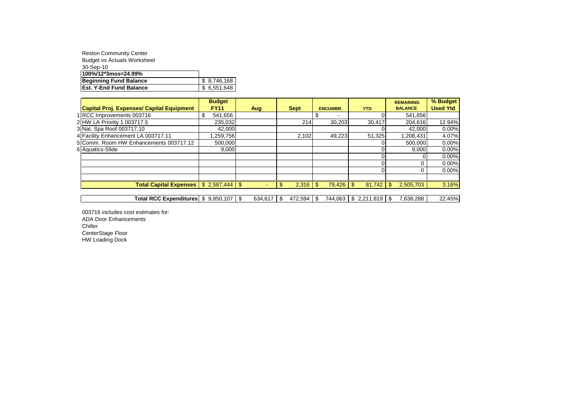| <b>Reston Community Center</b>     |             |
|------------------------------------|-------------|
| <b>Budget vs Actuals Worksheet</b> |             |
| 30-Sep-10                          |             |
| 100%/12*3mos=24.99%                |             |
| Beginning Fund Balance             | \$8,746,168 |
| <b>Est. Y-End Fund Balance</b>     | \$6,551,648 |

| <b>Budget</b> |                               |                                                              |                 |                | <b>REMAINING</b>           | % Budget        |
|---------------|-------------------------------|--------------------------------------------------------------|-----------------|----------------|----------------------------|-----------------|
| <b>FY11</b>   | Aug                           | <b>Sept</b>                                                  | <b>ENCUMBR.</b> | <b>YTD</b>     | <b>BALANCE</b>             | <b>Used Ytd</b> |
|               |                               |                                                              |                 |                | 541,656                    |                 |
|               |                               | 214                                                          |                 | 30,417         | 204,616                    | 12.94%          |
|               |                               |                                                              |                 |                | 42,000                     | 0.00%           |
|               |                               |                                                              |                 |                | 1,208,431                  | 4.07%           |
|               |                               |                                                              |                 |                | 500.000                    | 0.00%           |
|               |                               |                                                              |                 |                | 9.000                      | 0.00%           |
|               |                               |                                                              |                 |                |                            | 0.00%           |
|               |                               |                                                              |                 |                |                            | 0.00%           |
|               |                               |                                                              |                 |                |                            | 0.00%           |
|               |                               |                                                              |                 |                |                            |                 |
|               |                               |                                                              | \$.             | 81.742         | \$.<br>2,505,703           | 3.16%           |
|               | <b>Total Capital Expenses</b> | 541,656<br>235,032<br>42,000<br>,259,756<br>500,000<br>9.000 |                 | 2.102<br>2,316 | 30,203<br>49,223<br>79,426 | 51,325          |

Total RCC Expenditures  $\frac{1}{3}$  9,850,107  $\frac{1}{3}$  634,617  $\frac{1}{3}$  472,594  $\frac{1}{3}$  744,063  $\frac{1}{3}$  2,211,819  $\frac{1}{3}$  7,638,288 22.45%

003716 includes cost estimates for: ADA Door Enhancements Chiller CenterStage Floor HW Loading Dock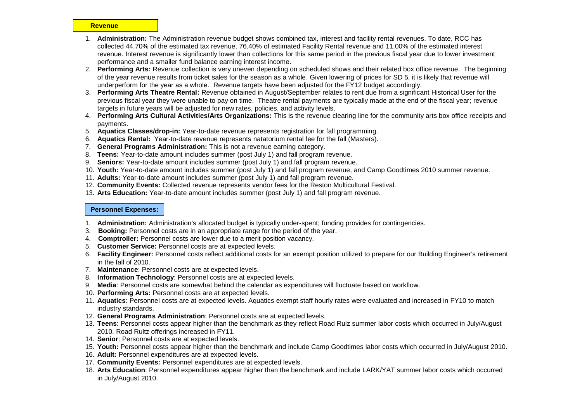#### **Revenue**

- 1. **Administration:** The Administration revenue budget shows combined tax, interest and facility rental revenues. To date, RCC has collected 44.70% of the estimated tax revenue, 76.40% of estimated Facility Rental revenue and 11.00% of the estimated interest revenue. Interest revenue is significantly lower than collections for this same period in the previous fiscal year due to lower investment performance and a smaller fund balance earning interest income.
- 2. **Performing Arts:** Revenue collection is very uneven depending on scheduled shows and their related box office revenue. The beginning of the year revenue results from ticket sales for the season as a whole. Given lowering of prices for SD 5, it is likely that revenue will underperform for the year as a whole. Revenue targets have been adjusted for the FY12 budget accordingly.
- 3. **Performing Arts Theatre Rental:** Revenue obtained in August/September relates to rent due from a significant Historical User for the previous fiscal year they were unable to pay on time. Theatre rental payments are typically made at the end of the fiscal year; revenue targets in future years will be adjusted for new rates, policies, and activity levels.
- 4. **Performing Arts Cultural Activities/Arts Organizations:** This is the revenue clearing line for the community arts box office receipts and payments.
- 5. **Aquatics Classes/drop-in:** Year-to-date revenue represents registration for fall programming.
- 6. **Aquatics Rental:** Year-to-date revenue represents natatorium rental fee for the fall (Masters).
- 7. **General Programs Administration:** This is not a revenue earning category.
- 8. **Teens:** Year-to-date amount includes summer (post July 1) and fall program revenue.
- 9. **Seniors:** Year-to-date amount includes summer (post July 1) and fall program revenue.
- 10. **Youth:** Year-to-date amount includes summer (post July 1) and fall program revenue, and Camp Goodtimes 2010 summer revenue.
- 11. **Adults:** Year-to-date amount includes summer (post July 1) and fall program revenue.
- 12. **Community Events:** Collected revenue represents vendor fees for the Reston Multicultural Festival.
- 13. **Arts Education:** Year-to-date amount includes summer (post July 1) and fall program revenue.

#### **Personnel Expenses:**

- 1. **Administration:** Administration's allocated budget is typically under-spent; funding provides for contingencies.
- 3. **Booking:** Personnel costs are in an appropriate range for the period of the year.
- 4. **Comptroller:** Personnel costs are lower due to a merit position vacancy.
- 5. **Customer Service:** Personnel costs are at expected levels.
- 6. **Facility Engineer:** Personnel costs reflect additional costs for an exempt position utilized to prepare for our Building Engineer's retirement in the fall of 2010.
- 7. **Maintenance**: Personnel costs are at expected levels.
- 8. **Information Technology**: Personnel costs are at expected levels.
- 9. **Media**: Personnel costs are somewhat behind the calendar as expenditures will fluctuate based on workflow.
- 10. **Performing Arts:** Personnel costs are at expected levels.
- 11. **Aquatics**: Personnel costs are at expected levels. Aquatics exempt staff hourly rates were evaluated and increased in FY10 to match industry standards.
- 12. **General Programs Administration**: Personnel costs are at expected levels.
- 13. **Teens**: Personnel costs appear higher than the benchmark as they reflect Road Rulz summer labor costs which occurred in July/August 2010. Road Rultz offerings increased in FY11.
- 14. **Senior**: Personnel costs are at expected levels.
- 15. **Youth:** Personnel costs appear higher than the benchmark and include Camp Goodtimes labor costs which occurred in July/August 2010.
- 16. **Adult:** Personnel expenditures are at expected levels.
- 17. **Community Events:** Personnel expenditures are at expected levels.
- 18. **Arts Education**: Personnel expenditures appear higher than the benchmark and include LARK/YAT summer labor costs which occurred in July/August 2010.